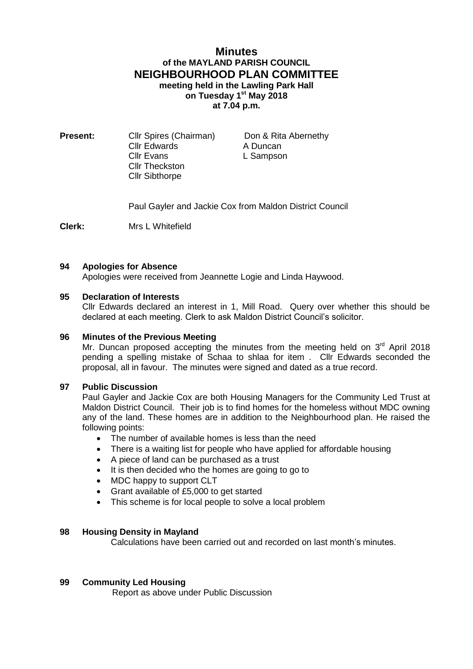# **Minutes of the MAYLAND PARISH COUNCIL NEIGHBOURHOOD PLAN COMMITTEE meeting held in the Lawling Park Hall on Tuesday 1 st May 2018 at 7.04 p.m.**

**Present:** Cllr Spires (Chairman) Don & Rita Abernethy Cllr Edwards A Duncan<br>Cllr Evans L Sampson Cllr Theckston Cllr Sibthorpe

L Sampson

Paul Gayler and Jackie Cox from Maldon District Council

**Clerk:** Mrs L Whitefield

# **94 Apologies for Absence**

Apologies were received from Jeannette Logie and Linda Haywood.

### **95 Declaration of Interests**

Cllr Edwards declared an interest in 1, Mill Road. Query over whether this should be declared at each meeting. Clerk to ask Maldon District Council's solicitor.

### **96 Minutes of the Previous Meeting**

Mr. Duncan proposed accepting the minutes from the meeting held on  $3<sup>rd</sup>$  April 2018 pending a spelling mistake of Schaa to shlaa for item . Cllr Edwards seconded the proposal, all in favour. The minutes were signed and dated as a true record.

# **97 Public Discussion**

Paul Gayler and Jackie Cox are both Housing Managers for the Community Led Trust at Maldon District Council. Their job is to find homes for the homeless without MDC owning any of the land. These homes are in addition to the Neighbourhood plan. He raised the following points:

- The number of available homes is less than the need
- There is a waiting list for people who have applied for affordable housing
- A piece of land can be purchased as a trust
- It is then decided who the homes are going to go to
- MDC happy to support CLT
- Grant available of £5,000 to get started
- This scheme is for local people to solve a local problem

#### **98 Housing Density in Mayland**

Calculations have been carried out and recorded on last month's minutes.

#### **99 Community Led Housing**

Report as above under Public Discussion